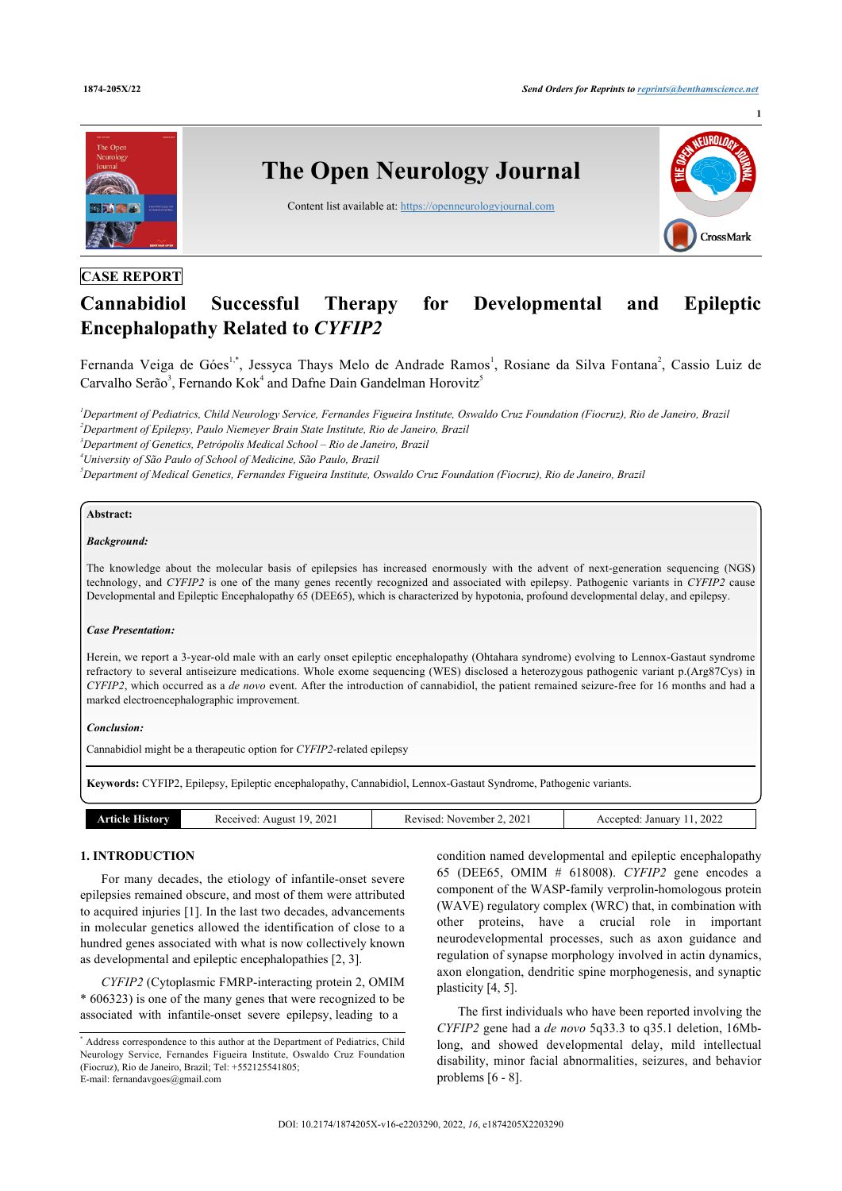

# **CASE REPORT**

# **Cannabidiol Successful Therapy for Developmental and Epileptic Encephalopathy Related to** *CYFIP2*

Fernanda Veiga de Góes<sup>[1](#page-0-0)[,\\*](#page-0-1)</sup>, Jessyca Thays Melo de Andrade Ramos<sup>1</sup>, Rosiane da Silva Fontana<sup>[2](#page-0-2)</sup>, Cassio Luiz de Carvalho Serão<sup>[3](#page-0-3)</sup>, Fernando Kok<sup>[4](#page-0-4)</sup> and Dafne Dain Gandelman Horovitz<sup>[5](#page-0-5)</sup>

<span id="page-0-2"></span><span id="page-0-0"></span>*<sup>1</sup>Department of Pediatrics, Child Neurology Service, Fernandes Figueira Institute, Oswaldo Cruz Foundation (Fiocruz), Rio de Janeiro, Brazil <sup>2</sup>Department of Epilepsy, Paulo Niemeyer Brain State Institute, Rio de Janeiro, Brazil <sup>3</sup>Department of Genetics, Petrópolis Medical School – Rio de Janeiro, Brazil*

<span id="page-0-3"></span>

<span id="page-0-4"></span>*<sup>4</sup>University of São Paulo of School of Medicine, São Paulo, Brazil*

<span id="page-0-5"></span>*<sup>5</sup>Department of Medical Genetics, Fernandes Figueira Institute, Oswaldo Cruz Foundation (Fiocruz), Rio de Janeiro, Brazil*

#### **Abstract:**

#### *Background:*

The knowledge about the molecular basis of epilepsies has increased enormously with the advent of next-generation sequencing (NGS) technology, and *CYFIP2* is one of the many genes recently recognized and associated with epilepsy. Pathogenic variants in *CYFIP2* cause Developmental and Epileptic Encephalopathy 65 (DEE65), which is characterized by hypotonia, profound developmental delay, and epilepsy.

#### *Case Presentation:*

Herein, we report a 3-year-old male with an early onset epileptic encephalopathy (Ohtahara syndrome) evolving to Lennox-Gastaut syndrome refractory to several antiseizure medications. Whole exome sequencing (WES) disclosed a heterozygous pathogenic variant p.(Arg87Cys) in *CYFIP2*, which occurred as a *de novo* event. After the introduction of cannabidiol, the patient remained seizure-free for 16 months and had a marked electroencephalographic improvement.

#### *Conclusion:*

Cannabidiol might be a therapeutic option for *CYFIP2*-related epilepsy

**Keywords:** CYFIP2, Epilepsy, Epileptic encephalopathy, Cannabidiol, Lennox-Gastaut Syndrome, Pathogenic variants.

| ----<br>---<br>__<br>.<br>. | 2022<br>202<br>202<br>Januar<br>៲៶<br>eiver:<br>ente.<br>November<br><b>A110115</b><br>torv<br>$\Omega$<br>$\sim$<br>∠U<br>ĸc<br>ISCU. |
|-----------------------------|----------------------------------------------------------------------------------------------------------------------------------------|
|-----------------------------|----------------------------------------------------------------------------------------------------------------------------------------|

#### **1. INTRODUCTION**

For many decades, the etiology of infantile-onset severe epilepsies remained obscure, and most of them were attributed to acquired injuries [\[1\]](#page-3-0). In the last two decades, advancements in molecular genetics allowed the identification of close to a hundred genes associated with what is now collectively known as developmental and epileptic encephalopathies [\[2,](#page-3-1) [3\]](#page-4-0).

*CYFIP2* (Cytoplasmic FMRP-interacting protein 2, OMIM \* 606323) is one of the many genes that were recognized to be associated with infantile-onset severe epilepsy, leading to a

condition named developmental and epileptic encephalopathy 65 (DEE65, OMIM # 618008). *CYFIP2* gene encodes a component of the WASP-family verprolin-homologous protein (WAVE) regulatory complex (WRC) that, in combination with other proteins, have a crucial role in important neurodevelopmental processes, such as axon guidance and regulation of synapse morphology involved in actin dynamics, axon elongation, dendritic spine morphogenesis, and synaptic plasticity [\[4,](#page-4-1) [5\]](#page-4-2).

The first individuals who have been reported involving the *CYFIP2* gene had a *de novo* 5q33.3 to q35.1 deletion, 16Mblong, and showed developmental delay, mild intellectual disability, minor facial abnormalities, seizures, and behavior problems [[6](#page-4-3) - [8](#page-4-4)].

<span id="page-0-1"></span><sup>\*</sup> Address correspondence to this author at the Department of Pediatrics, Child Neurology Service, Fernandes Figueira Institute, Oswaldo Cruz Foundation (Fiocruz), Rio de Janeiro, Brazil; Tel: +552125541805; E-mail: [fernandavgoes@gmail.com](mailto:fernandavgoes@gmail.com)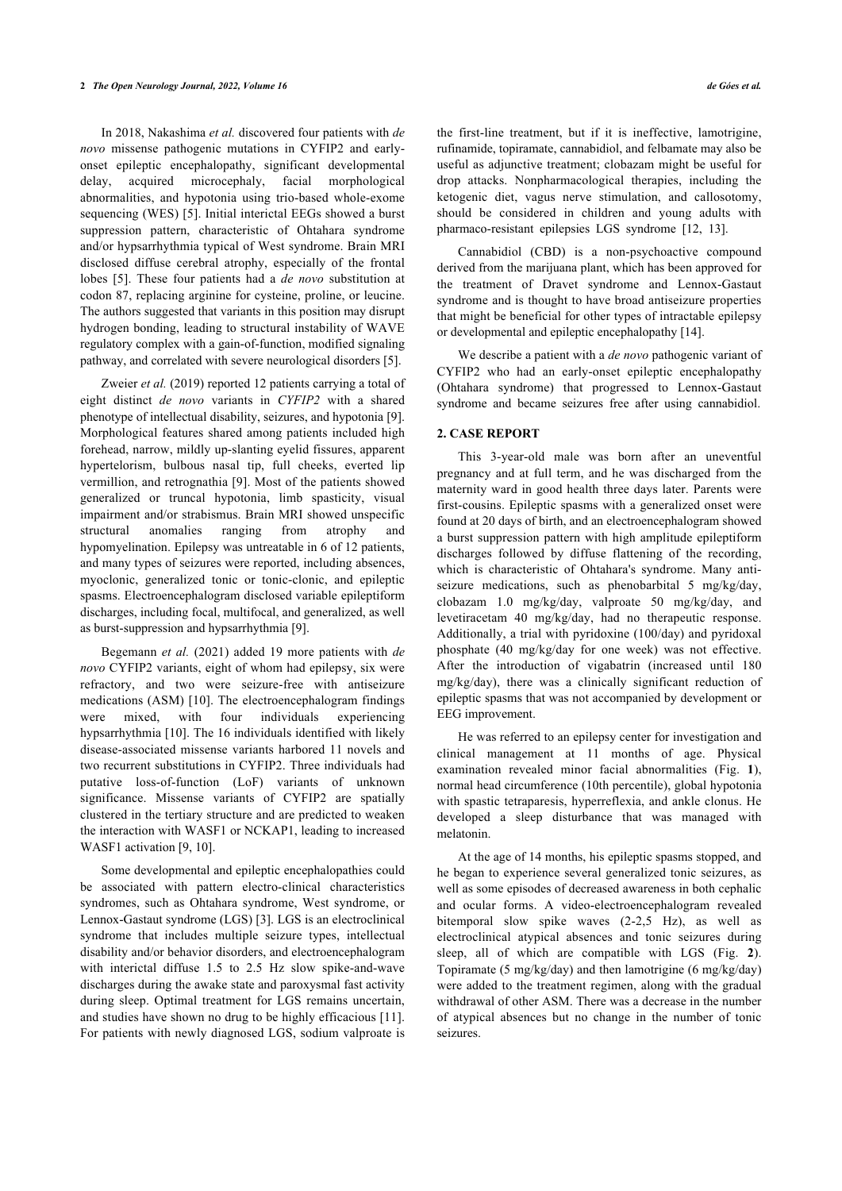#### **2** *The Open Neurology Journal, 2022, Volume 16 de Góes et al.*

In 2018, Nakashima *et al.* discovered four patients with *de novo* missense pathogenic mutations in CYFIP2 and earlyonset epileptic encephalopathy, significant developmental delay, acquired microcephaly, facial morphological abnormalities, and hypotonia using trio-based whole-exome sequencing (WES) [\[5\]](#page-4-2). Initial interictal EEGs showed a burst suppression pattern, characteristic of Ohtahara syndrome and/or hypsarrhythmia typical of West syndrome. Brain MRI disclosed diffuse cerebral atrophy, especially of the frontal lobes[[5\]](#page-4-2). These four patients had a *de novo* substitution at codon 87, replacing arginine for cysteine, proline, or leucine. The authors suggested that variants in this position may disrupt hydrogen bonding, leading to structural instability of WAVE regulatory complex with a gain-of-function, modified signaling pathway, and correlated with severe neurological disorders [\[5\]](#page-4-2).

Zweier *et al.* (2019) reported 12 patients carrying a total of eight distinct *de novo* variants in *CYFIP2* with a shared phenotype of intellectual disability, seizures, and hypotonia [[9](#page-4-5)]. Morphological features shared among patients included high forehead, narrow, mildly up-slanting eyelid fissures, apparent hypertelorism, bulbous nasal tip, full cheeks, everted lip vermillion, and retrognathia [\[9\]](#page-4-5). Most of the patients showed generalized or truncal hypotonia, limb spasticity, visual impairment and/or strabismus. Brain MRI showed unspecific structural anomalies ranging from atrophy and hypomyelination. Epilepsy was untreatable in 6 of 12 patients, and many types of seizures were reported, including absences, myoclonic, generalized tonic or tonic-clonic, and epileptic spasms. Electroencephalogram disclosed variable epileptiform discharges, including focal, multifocal, and generalized, as well as burst-suppression and hypsarrhythmia [\[9\]](#page-4-5).

Begemann *et al.* (2021) added 19 more patients with *de novo* CYFIP2 variants, eight of whom had epilepsy, six were refractory, and two were seizure-free with antiseizure medications (ASM) [[10\]](#page-4-6). The electroencephalogram findings were mixed, with four individuals experiencing hypsarrhythmia [[10\]](#page-4-6). The 16 individuals identified with likely disease-associated missense variants harbored 11 novels and two recurrent substitutions in CYFIP2. Three individuals had putative loss-of-function (LoF) variants of unknown significance. Missense variants of CYFIP2 are spatially clustered in the tertiary structure and are predicted to weaken the interaction with [W](#page-4-5)[AS](#page-4-6)F1 or NCKAP1, leading to increased WASF1 activation [9, 10].

<span id="page-1-0"></span>Some developmental and epileptic encephalopathies could be associated with pattern electro-clinical characteristics syndromes, such as Ohtahara sy[nd](#page-4-0)rome, West syndrome, or Lennox-Gastaut syndrome (LGS) [3]. LGS is an electroclinical syndrome that includes multiple seizure types, intellectual disability and/or behavior disorders, and electroencephalogram with interictal diffuse 1.5 to 2.5 Hz slow spike-and-wave discharges during the awake state and paroxysmal fast activity during sleep. Optimal treatment for LGS remains uncer[tain](#page-4-7), and studies have shown no drug to be highly efficacious [11]. For patients with newly diagnosed LGS, sodium valproate is

the first-line treatment, but if it is ineffective, lamotrigine, rufinamide, topiramate, cannabidiol, and felbamate may also be useful as adjunctive treatment; clobazam might be useful for drop attacks. Nonpharmacological therapies, including the ketogenic diet, vagus nerve stimulation, and callosotomy, should be considered in children and young adults with pharmaco-resistant epilepsies LGS syndrome [\[12](#page-4-2), [13\]](#page-4-3).

Cannabidiol (CBD) is a non-psychoactive compound derived from the marijuana plant, which has been approved for the treatment of Dravet syndrome and Lennox-Gastaut syndrome and is thought to have broad antiseizure properties that might be beneficial for other types of intractable epilepsy or developmental and epileptic encephalopathy [\[14](#page-4-8)].

We describe a patient with a *de novo* pathogenic variant of CYFIP2 who had an early-onset epileptic encephalopathy (Ohtahara syndrome) that progressed to Lennox-Gastaut syndrome and became seizures free after using cannabidiol.

### **2. CASE REPORT**

This 3-year-old male was born after an uneventful pregnancy and at full term, and he was discharged from the maternity ward in good health three days later. Parents were first-cousins. Epileptic spasms with a generalized onset were found at 20 days of birth, and an electroencephalogram showed a burst suppression pattern with high amplitude epileptiform discharges followed by diffuse flattening of the recording, which is characteristic of Ohtahara's syndrome. Many antiseizure medications, such as phenobarbital 5 mg/kg/day, clobazam 1.0 mg/kg/day, valproate 50 mg/kg/day, and levetiracetam 40 mg/kg/day, had no therapeutic response. Additionally, a trial with pyridoxine (100/day) and pyridoxal phosphate (40 mg/kg/day for one week) was not effective. After the introduction of vigabatrin (increased until 180 mg/kg/day), there was a clinically significant reduction of epileptic spasms that was not accompanied by development or EEG improvement.

He was referred to an epilepsy center for investigation and clinical management at 11 months of age. Physical examination revealed minor facial abnormalities (Fig.**1**), normal head circumference (10th percentile), global hypotonia with spastic tetraparesis, hyperreflexia, and ankle clonus. He developed a sleep disturbance that was managed with melatonin.

At the age of 14 months, his epileptic spasms stopped, and he began to experience several generalized tonic seizures, as well as some episodes of decreased awareness in both cephalic and ocular forms. A video-electroencephalogram revealed bitemporal slow spike waves (2-2,5 Hz), as well as electroclinical atypical absences and tonic seizures during sleep, all of which are compatible with LGS (Fig.**2**). Topiramate (5 mg/kg/day) and then lamotrigine (6 mg/kg/day) were added to the treatment regimen, along with the gradual withdrawal of other ASM. There was a decrease in the number of atypical absences but no change in the number of tonic seizures.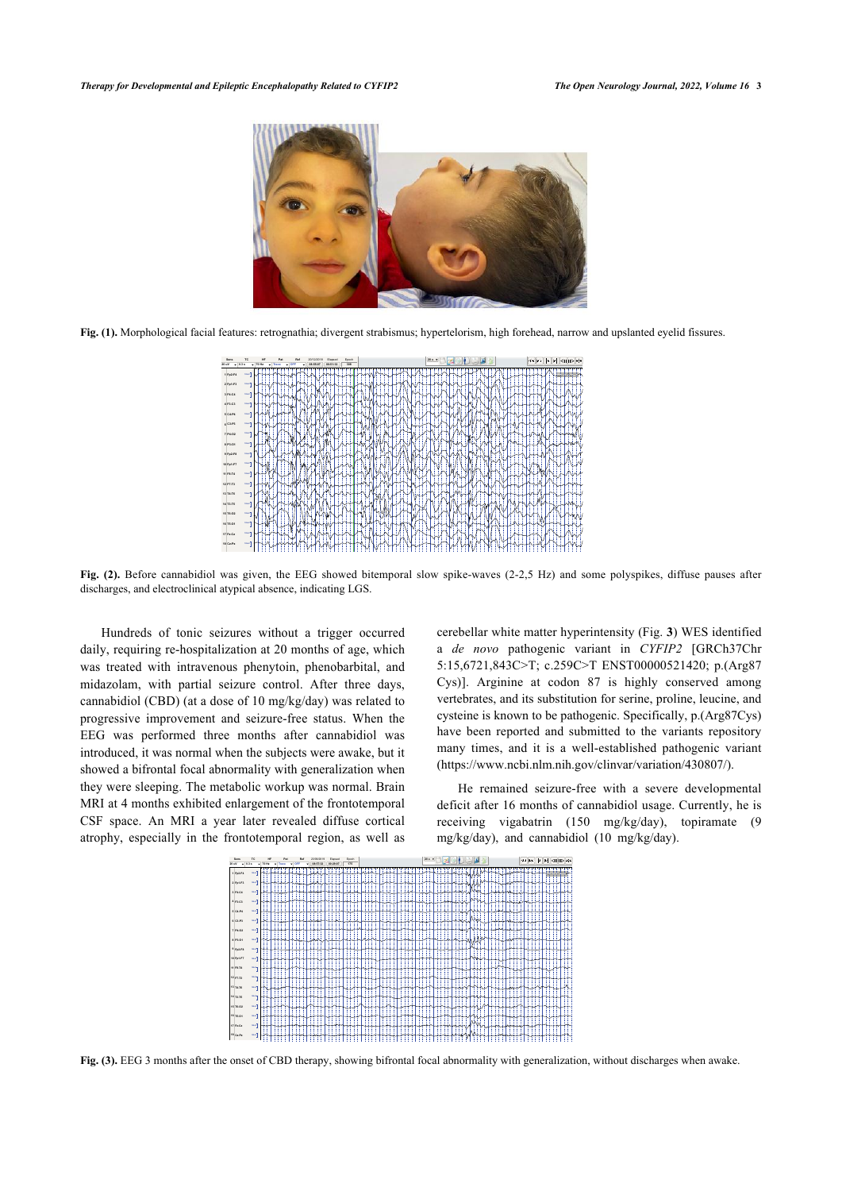

**Fig. (1).** Morphological facial features: retrognathia; divergent strabismus; hypertelorism, high forehead, narrow and upslanted eyelid fissures.



<span id="page-2-0"></span>**Fig. (2).** Before cannabidiol was given, the EEG showed bitemporal slow spike-waves (2-2,5 Hz) and some polyspikes, diffuse pauses after discharges, and electroclinical atypical absence, indicating LGS.

Hundreds of tonic seizures without a trigger occurred daily, requiring re-hospitalization at 20 months of age, which was treated with intravenous phenytoin, phenobarbital, and midazolam, with partial seizure control. After three days, cannabidiol (CBD) (at a dose of 10 mg/kg/day) was related to progressive improvement and seizure-free status. When the EEG was performed three months after cannabidiol was introduced, it was normal when the subjects were awake, but it showed a bifrontal focal abnormality with generalization when they were sleeping. The metabolic workup was normal. Brain MRI at 4 months exhibited enlargement of the frontotemporal CSF space. An MRI a year later revealed diffuse cortical atrophy, especially in the frontotemporal region, as well as

cerebellar white matter hyperintensity (Fig. **[3](#page-2-1)**) WES identified a *de novo* pathogenic variant in *CYFIP2* [GRCh37Chr 5:15,6721,843C>T; c.259C>T ENST00000521420; p.(Arg87 Cys)]. Arginine at codon 87 is highly conserved among vertebrates, and its substitution for serine, proline, leucine, and cysteine is known to be pathogenic. Specifically, p.(Arg87Cys) have been reported and submitted to the variants repository many times, and it is a well-established pathogenic variant ([https://www.ncbi.nlm.nih.gov/clinvar/variation/430807/\)](https://www.ncbi.nlm.nih.gov/clinvar/variation/430807/).

He remained seizure-free with a severe developmental deficit after 16 months of cannabidiol usage. Currently, he is receiving vigabatrin (150 mg/kg/day), topiramate (9 mg/kg/day), and cannabidiol (10 mg/kg/day).



<span id="page-2-1"></span>**Fig. (3).** EEG 3 months after the onset of CBD therapy, showing bifrontal focal abnormality with generalization, without discharges when awake.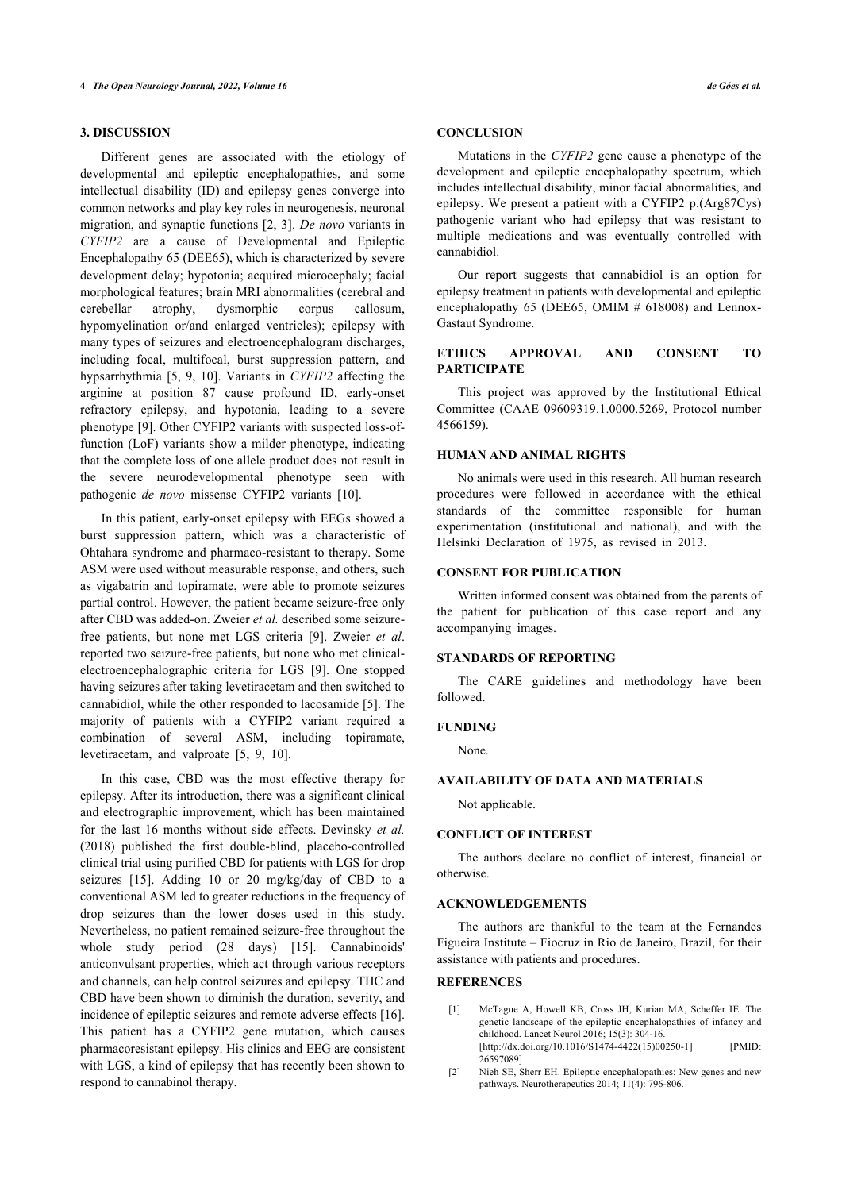## **3. DISCUSSION**

Different genes are associated with the etiology of developmental and epileptic encephalopathies, and some intellectual disability (ID) and epilepsy genes converge into common networks and play key roles in neurogenesis, neuronal migration, and synaptic functions [[2](#page-3-1), [3\]](#page-4-0). *De novo* variants in *CYFIP2* are a cause of Developmental and Epileptic Encephalopathy 65 (DEE65), which is characterized by severe development delay; hypotonia; acquired microcephaly; facial morphological features; brain MRI abnormalities (cerebral and cerebellar atrophy, dysmorphic corpus callosum, hypomyelination or/and enlarged ventricles); epilepsy with many types of seizures and electroencephalogram discharges, including focal, multifocal, burst suppression pattern, and hypsarrhythmia [\[5,](#page-4-2) [9](#page-4-5), [10](#page-4-6)]. Variants in *CYFIP2* affecting the arginine at position 87 cause profound ID, early-onset refractory epilepsy, and hypotonia, leading to a severe phenotype [\[9](#page-4-5)]. Other CYFIP2 variants with suspected loss-offunction (LoF) variants show a milder phenotype, indicating that the complete loss of one allele product does not result in the severe neurodevelopmental phenotype seen with pathogenic *de novo* missense CYFIP2 variants[[10\]](#page-4-6).

In this patient, early-onset epilepsy with EEGs showed a burst suppression pattern, which was a characteristic of Ohtahara syndrome and pharmaco-resistant to therapy. Some ASM were used without measurable response, and others, such as vigabatrin and topiramate, were able to promote seizures partial control. However, the patient became seizure-free only after CBD was added-on. Zweier *et al.* described some seizurefree patients, but none met LGS criteria[[9](#page-4-5)]. Zweier *et al*. reported two seizure-free patients, but none who met clinicalelectroencephalographic criteria for LGS[[9\]](#page-4-5). One stopped having seizures after taking levetiracetam and then switched to cannabidiol, while the other responded to lacosamide [[5](#page-4-2)]. The majority of patients with a CYFIP2 variant required a combination of several ASM, including topiramate, levetiracetam, and valproate[[5](#page-4-2), [9](#page-4-5), [10\]](#page-4-6).

<span id="page-3-1"></span><span id="page-3-0"></span>In this case, CBD was the most effective therapy for epilepsy. After its introduction, there was a significant clinical and electrographic improvement, which has been maintained for the last 16 months without side effects. Devinsky *et al.* (2018) published the first double-blind, placebo-controlled clinical trial using purified CBD for patients with LGS for drop seizures[[15\]](#page-4-9). Adding 10 or 20 mg/kg/day of CBD to a conventional ASM led to greater reductions in the frequency of drop seizures than the lower doses used in this study. Nevertheless, no patient remained seizure-free throughout the whole study period (28 days) [\[15](#page-4-9)]. Cannabinoids' anticonvulsant properties, which act through various receptors and channels, can help control seizures and epilepsy. THC and CBD have been shown to diminish the duration, severity, and incidence of epileptic seizures and remote adverse effects [[16](#page-4-10)]. This patient has a CYFIP2 gene mutation, which causes pharmacoresistant epilepsy. His clinics and EEG are consistent with LGS, a kind of epilepsy that has recently been shown to respond to cannabinol therapy.

#### **CONCLUSION**

Mutations in the *CYFIP2* gene cause a phenotype of the development and epileptic encephalopathy spectrum, which includes intellectual disability, minor facial abnormalities, and epilepsy. We present a patient with a CYFIP2 p.(Arg87Cys) pathogenic variant who had epilepsy that was resistant to multiple medications and was eventually controlled with cannabidiol.

Our report suggests that cannabidiol is an option for epilepsy treatment in patients with developmental and epileptic encephalopathy 65 (DEE65, OMIM # 618008) and Lennox-Gastaut Syndrome.

### **ETHICS APPROVAL AND CONSENT TO PARTICIPATE**

This project was approved by the Institutional Ethical Committee (CAAE 09609319.1.0000.5269, Protocol number 4566159).

#### **HUMAN AND ANIMAL RIGHTS**

No animals were used in this research. All human research procedures were followed in accordance with the ethical standards of the committee responsible for human experimentation (institutional and national), and with the Helsinki Declaration of 1975, as revised in 2013.

#### **CONSENT FOR PUBLICATION**

Written informed consent was obtained from the parents of the patient for publication of this case report and any accompanying images.

#### **STANDARDS OF REPORTING**

The CARE guidelines and methodology have been followed.

#### **FUNDING**

None.

#### **AVAILABILITY OF DATA AND MATERIALS**

Not applicable.

#### **CONFLICT OF INTEREST**

The authors declare no conflict of interest, financial or otherwise.

#### **ACKNOWLEDGEMENTS**

The authors are thankful to the team at the Fernandes Figueira Institute – Fiocruz in Rio de Janeiro, Brazil, for their assistance with patients and procedures.

#### **REFERENCES**

- [1] McTague A, Howell KB, Cross JH, Kurian MA, Scheffer IE. The genetic landscape of the epileptic encephalopathies of infancy and childhood. Lancet Neurol 2016; 15(3): 304-16. [\[http://dx.doi.org/10.1016/S1474-4422\(15\)00250-1](http://dx.doi.org/10.1016/S1474-4422(15)00250-1)] [PMID: [26597089\]](http://www.ncbi.nlm.nih.gov/pubmed/26597089)
- [2] Nieh SE, Sherr EH. Epileptic encephalopathies: New genes and new pathways. Neurotherapeutics 2014; 11(4): 796-806.